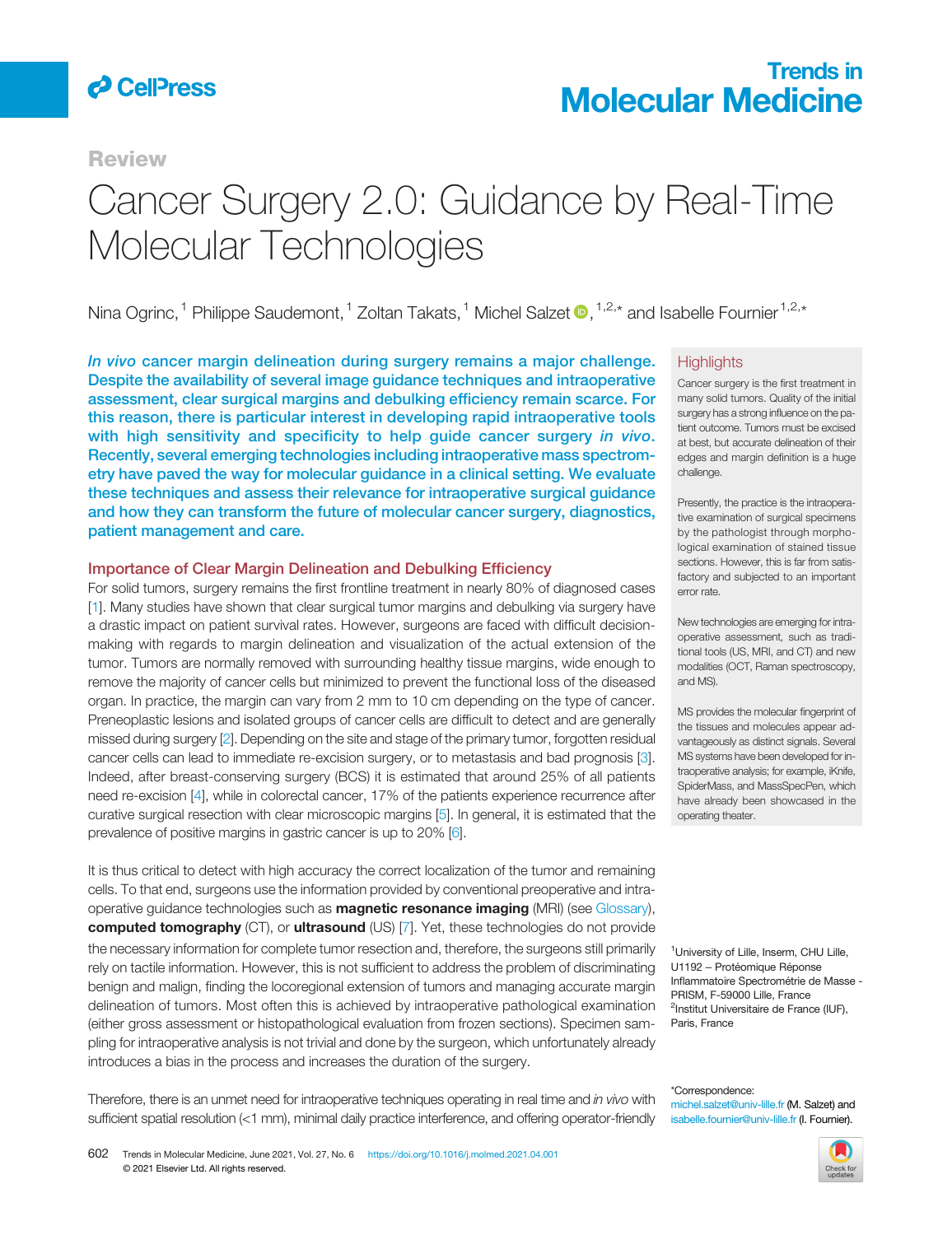

**Review** 

# Trends in Molecular Medicine

# Cancer Surgery 2.0: Guidance by Real-Time Molecular Technologies

Nina Ogrinc, <sup>1</sup> Philippe Saudemont, <sup>1</sup> Zoltan Takats, <sup>1</sup> Michel Salzet <sup>1,2,\*</sup> and Isabelle Fournier<sup>1,2,\*</sup>

In vivo cancer margin delineation during surgery remains a major challenge. Despite the availability of several image guidance techniques and intraoperative assessment, clear surgical margins and debulking efficiency remain scarce. For this reason, there is particular interest in developing rapid intraoperative tools with high sensitivity and specificity to help guide cancer surgery in vivo. Recently, several emerging technologies including intraoperative mass spectrometry have paved the way for molecular guidance in a clinical setting. We evaluate these techniques and assess their relevance for intraoperative surgical guidance and how they can transform the future of molecular cancer surgery, diagnostics, patient management and care.

### Importance of Clear Margin Delineation and Debulking Efficiency

For solid tumors, surgery remains the first frontline treatment in nearly 80% of diagnosed cases [1]. Many studies have shown that clear surgical tumor margins and debulking via surgery have a drastic impact on patient survival rates. However, surgeons are faced with difficult decisionmaking with regards to margin delineation and visualization of the actual extension of the tumor. Tumors are normally removed with surrounding healthy tissue margins, wide enough to remove the majority of cancer cells but minimized to prevent the functional loss of the diseased organ. In practice, the margin can vary from 2 mm to 10 cm depending on the type of cancer. Preneoplastic lesions and isolated groups of cancer cells are difficult to detect and are generally missed during surgery [2]. Depending on the site and stage of the primary tumor, forgotten residual cancer cells can lead to immediate re-excision surgery, or to metastasis and bad prognosis [3]. Indeed, after breast-conserving surgery (BCS) it is estimated that around 25% of all patients need re-excision [4], while in colorectal cancer, 17% of the patients experience recurrence after curative surgical resection with clear microscopic margins [5]. In general, it is estimated that the prevalence of positive margins in gastric cancer is up to 20% [6].

It is thus critical to detect with high accuracy the correct localization of the tumor and remaining cells. To that end, surgeons use the information provided by conventional preoperative and intraoperative guidance technologies such as **magnetic resonance imaging** (MRI) (see Glossary), computed tomography (CT), or ultrasound (US) [7]. Yet, these technologies do not provide the necessary information for complete tumor resection and, therefore, the surgeons still primarily rely on tactile information. However, this is not sufficient to address the problem of discriminating benign and malign, finding the locoregional extension of tumors and managing accurate margin delineation of tumors. Most often this is achieved by intraoperative pathological examination (either gross assessment or histopathological evaluation from frozen sections). Specimen sampling for intraoperative analysis is not trivial and done by the surgeon, which unfortunately already introduces a bias in the process and increases the duration of the surgery.

### **Highlights**

Cancer surgery is the first treatment in many solid tumors. Quality of the initial surgery has a strong influence on the patient outcome. Tumors must be excised at best, but accurate delineation of their edges and margin definition is a huge challenge.

Presently, the practice is the intraoperative examination of surgical specimens by the pathologist through morphological examination of stained tissue sections. However, this is far from satisfactory and subjected to an important error rate.

New technologies are emerging for intraoperative assessment*,* such as traditional tools (US, MRI, and CT) and new modalities (OCT, Raman spectroscopy, and MS).

MS provides the molecular fingerprint of the tissues and molecules appear advantageously as distinct signals. Several MS systems have been developed for intraoperative analysis; for example, iKnife, SpiderMass, and MassSpecPen, which have already been showcased in the operating theater.

<sup>1</sup>University of Lille, Inserm, CHU Lille, U1192 – Protéomique Réponse Inflammatoire Spectrométrie de Masse - PRISM, F-59000 Lille, France <sup>2</sup>Institut Universitaire de France (IUF), Paris, France

Therefore, there is an unmet need for intraoperative techniques operating in real time and *in vivo* with sufficient spatial resolution (<1 mm), minimal daily practice interference, and offering operator-friendly

\*Correspondence: michel.salzet@univ-lille.fr (M. Salzet) and isabelle.fournier@univ-lille.fr (I. Fournier).

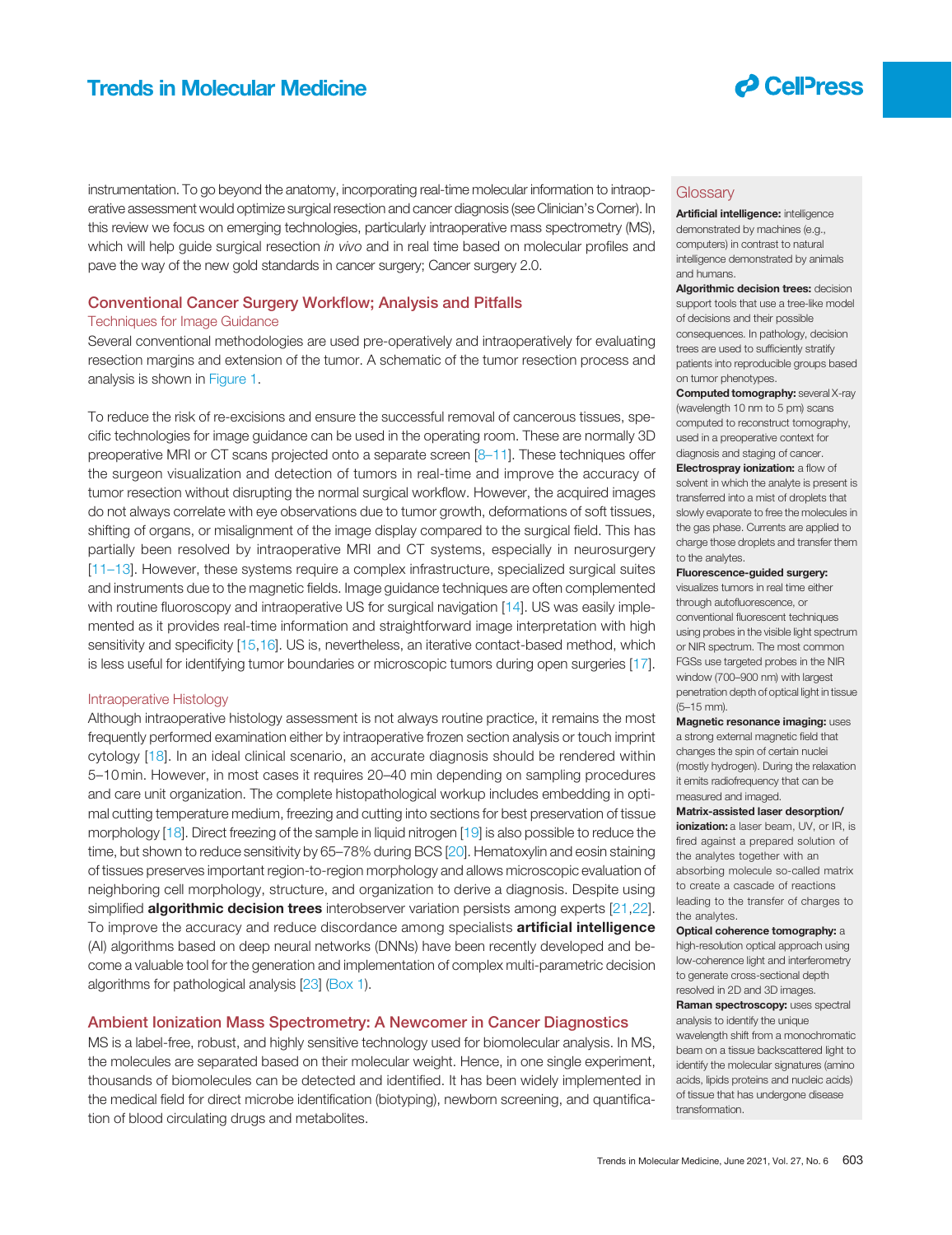

instrumentation. To go beyond the anatomy, incorporating real-time molecular information to intraoperative assessment would optimize surgical resection and cancer diagnosis (see Clinician's Corner). In this review we focus on emerging technologies, particularly intraoperative mass spectrometry (MS), which will help guide surgical resection *in vivo* and in real time based on molecular profiles and pave the way of the new gold standards in cancer surgery; Cancer surgery 2.0.

### Conventional Cancer Surgery Workflow; Analysis and Pitfalls

### Techniques for Image Guidance

Several conventional methodologies are used pre-operatively and intraoperatively for evaluating resection margins and extension of the tumor. A schematic of the tumor resection process and analysis is shown in Figure 1.

To reduce the risk of re-excisions and ensure the successful removal of cancerous tissues, specific technologies for image guidance can be used in the operating room. These are normally 3D preoperative MRI or CT scans projected onto a separate screen [8–11]. These techniques offer the surgeon visualization and detection of tumors in real-time and improve the accuracy of tumor resection without disrupting the normal surgical workflow. However, the acquired images do not always correlate with eye observations due to tumor growth, deformations of soft tissues, shifting of organs, or misalignment of the image display compared to the surgical field. This has partially been resolved by intraoperative MRI and CT systems, especially in neurosurgery [11–13]. However, these systems require a complex infrastructure, specialized surgical suites and instruments due to the magnetic fields. Image guidance techniques are often complemented with routine fluoroscopy and intraoperative US for surgical navigation [14]. US was easily implemented as it provides real-time information and straightforward image interpretation with high sensitivity and specificity [15,16]. US is, nevertheless, an iterative contact-based method, which is less useful for identifying tumor boundaries or microscopic tumors during open surgeries [17].

### Intraoperative Histology

Although intraoperative histology assessment is not always routine practice, it remains the most frequently performed examination either by intraoperative frozen section analysis or touch imprint cytology [18]. In an ideal clinical scenario, an accurate diagnosis should be rendered within 5–10min. However, in most cases it requires 20–40 min depending on sampling procedures and care unit organization. The complete histopathological workup includes embedding in optimal cutting temperature medium, freezing and cutting into sections for best preservation of tissue morphology [18]. Direct freezing of the sample in liquid nitrogen [19] is also possible to reduce the time, but shown to reduce sensitivity by 65–78% during BCS [20]. Hematoxylin and eosin staining of tissues preserves important region-to-region morphology and allows microscopic evaluation of neighboring cell morphology, structure, and organization to derive a diagnosis. Despite using simplified **algorithmic decision trees** interobserver variation persists among experts [21,22]. To improve the accuracy and reduce discordance among specialists **artificial intelligence** (AI) algorithms based on deep neural networks (DNNs) have been recently developed and become a valuable tool for the generation and implementation of complex multi-parametric decision algorithms for pathological analysis [23] (Box 1).

### Ambient Ionization Mass Spectrometry: A Newcomer in Cancer Diagnostics

MS is a label-free, robust, and highly sensitive technology used for biomolecular analysis. In MS, the molecules are separated based on their molecular weight. Hence, in one single experiment, thousands of biomolecules can be detected and identified. It has been widely implemented in the medical field for direct microbe identification (biotyping), newborn screening, and quantification of blood circulating drugs and metabolites.

### **Glossary**

Artificial intelligence: intelligence demonstrated by machines (e.g., computers) in contrast to natural intelligence demonstrated by animals and humans.

Algorithmic decision trees: decision support tools that use a tree-like model of decisions and their possible consequences. In pathology, decision trees are used to sufficiently stratify patients into reproducible groups based on tumor phenotypes.

Computed tomography: several X-ray (wavelength 10 nm to 5 pm) scans computed to reconstruct tomography, used in a preoperative context for diagnosis and staging of cancer.

**Electrospray ionization:** a flow of solvent in which the analyte is present is transferred into a mist of droplets that slowly evaporate to free the molecules in the gas phase. Currents are applied to charge those droplets and transfer them to the analytes.

#### Fluorescence-guided surgery:

visualizes tumors in real time either through autofluorescence, or conventional fluorescent techniques using probes in the visible light spectrum or NIR spectrum. The most common FGSs use targeted probes in the NIR window (700–900 nm) with largest penetration depth of optical light in tissue (5–15 mm).

**Magnetic resonance imaging: uses** a strong external magnetic field that changes the spin of certain nuclei (mostly hydrogen). During the relaxation it emits radiofrequency that can be measured and imaged.

#### Matrix-assisted laser desorption/

ionization: a laser beam, UV, or IR, is fired against a prepared solution of the analytes together with an absorbing molecule so-called matrix to create a cascade of reactions leading to the transfer of charges to the analytes.

### Optical coherence tomography: a

high-resolution optical approach using low-coherence light and interferometry to generate cross-sectional depth resolved in 2D and 3D images.

Raman spectroscopy: uses spectral analysis to identify the unique

wavelength shift from a monochromatic beam on a tissue backscattered light to identify the molecular signatures (amino acids, lipids proteins and nucleic acids) of tissue that has undergone disease transformation.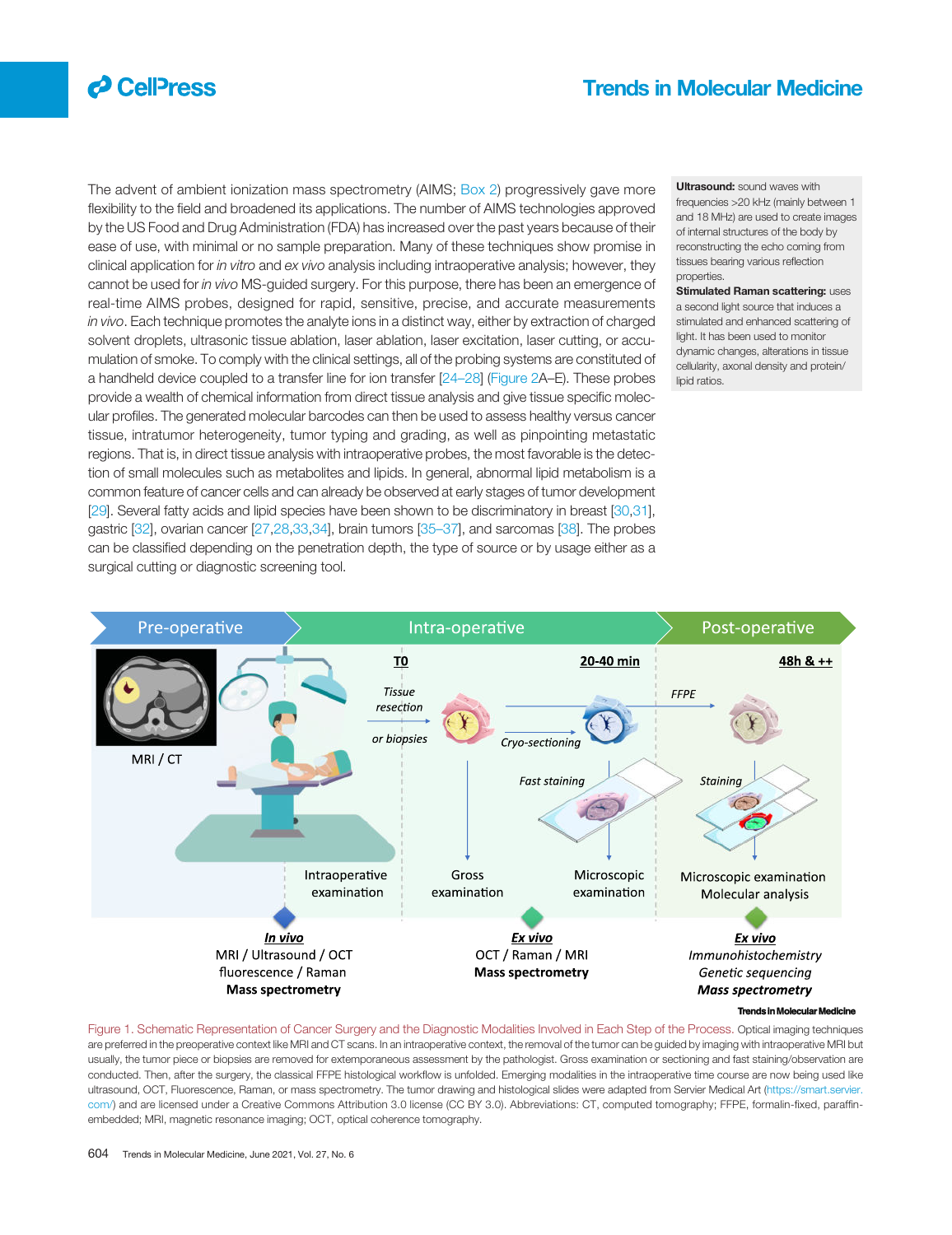

The advent of ambient ionization mass spectrometry (AIMS; Box 2) progressively gave more flexibility to the field and broadened its applications. The number of AIMS technologies approved by the US Food and Drug Administration (FDA) has increased over the past years because of their ease of use, with minimal or no sample preparation. Many of these techniques show promise in clinical application for *in vitro* and *ex vivo* analysis including intraoperative analysis; however, they cannot be used for *in vivo* MS-guided surgery. For this purpose, there has been an emergence of real-time AIMS probes, designed for rapid, sensitive, precise, and accurate measurements *in vivo*. Each technique promotes the analyte ions in a distinct way, either by extraction of charged solvent droplets, ultrasonic tissue ablation, laser ablation, laser excitation, laser cutting, or accumulation of smoke. To comply with the clinical settings, all of the probing systems are constituted of a handheld device coupled to a transfer line for ion transfer [24–28] (Figure 2A–E). These probes provide a wealth of chemical information from direct tissue analysis and give tissue specific molecular profiles. The generated molecular barcodes can then be used to assess healthy versus cancer tissue, intratumor heterogeneity, tumor typing and grading, as well as pinpointing metastatic regions. That is, in direct tissue analysis with intraoperative probes, the most favorable is the detection of small molecules such as metabolites and lipids. In general, abnormal lipid metabolism is a common feature of cancer cells and can already be observed at early stages of tumor development [29]. Several fatty acids and lipid species have been shown to be discriminatory in breast [30,31], gastric [32], ovarian cancer [27,28,33,34], brain tumors [35–37], and sarcomas [38]. The probes can be classified depending on the penetration depth, the type of source or by usage either as a surgical cutting or diagnostic screening tool.

Ultrasound: sound waves with frequencies >20 kHz (mainly between 1 and 18 MHz) are used to create images of internal structures of the body by reconstructing the echo coming from tissues bearing various reflection properties.

**Stimulated Raman scattering: uses** a second light source that induces a stimulated and enhanced scattering of light. It has been used to monitor dynamic changes, alterations in tissue cellularity, axonal density and protein/ lipid ratios.



#### **Trends in Molecular Molecular Medicine**

Figure 1. Schematic Representation of Cancer Surgery and the Diagnostic Modalities Involved in Each Step of the Process. Optical imaging techniques are preferred in the preoperative context like MRI and CT scans. In an intraoperative context, the removal of the tumor can be guided by imaging with intraoperative MRI but usually, the tumor piece or biopsies are removed for extemporaneous assessment by the pathologist. Gross examination or sectioning and fast staining/observation are conducted. Then, after the surgery, the classical FFPE histological workflow is unfolded. Emerging modalities in the intraoperative time course are now being used like ultrasound, OCT, Fluorescence, Raman, or mass spectrometry. The tumor drawing and histological slides were adapted from Servier Medical Art (https://smart.servier. com/) and are licensed under a Creative Commons Attribution 3.0 license (CC BY 3.0). Abbreviations: CT, computed tomography; FFPE, formalin-fixed, paraffinembedded; MRI, magnetic resonance imaging; OCT, optical coherence tomography.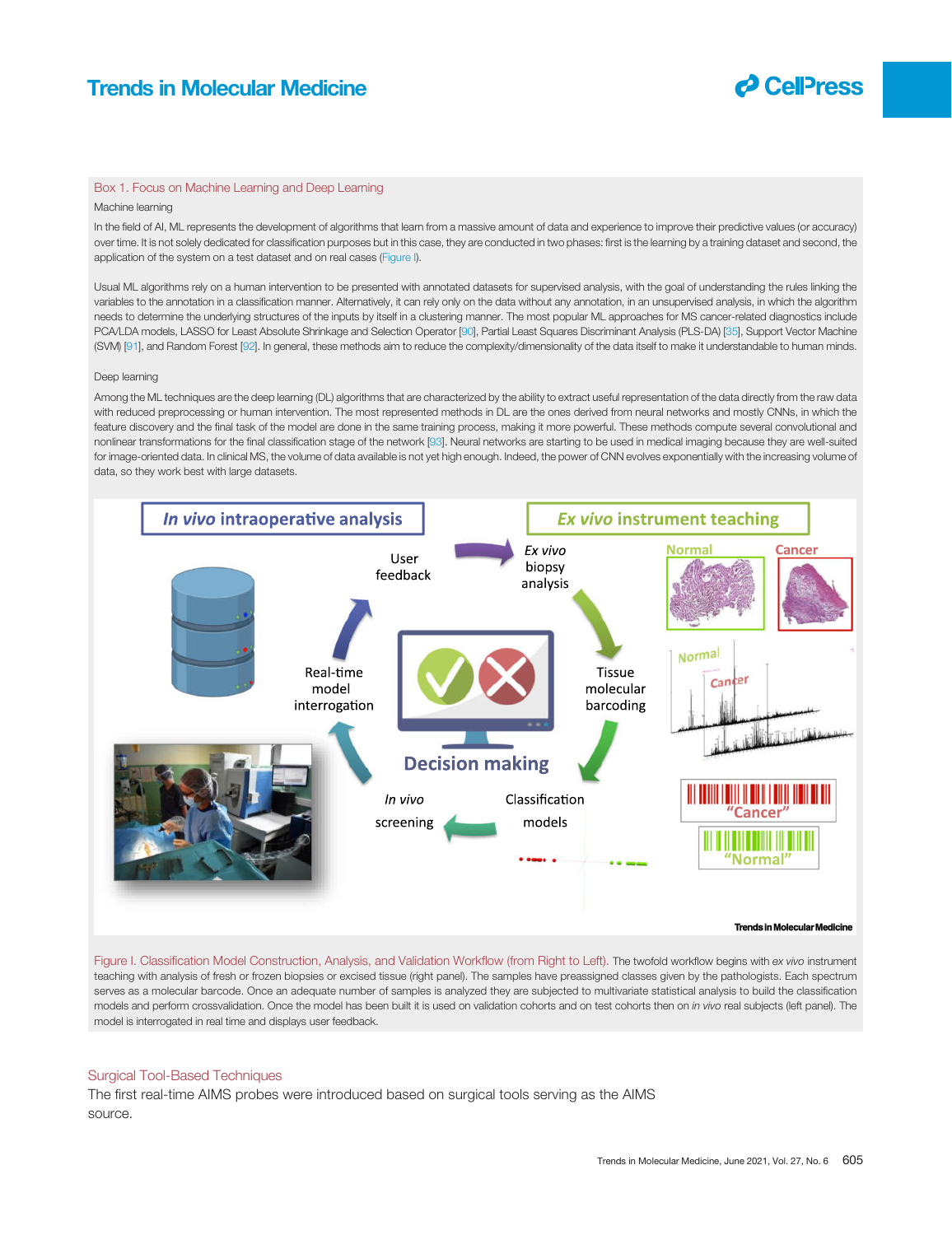

### Box 1. Focus on Machine Learning and Deep Learning

### Machine learning

In the field of AI, ML represents the development of algorithms that learn from a massive amount of data and experience to improve their predictive values (or accuracy) over time. It is not solely dedicated for classification purposes but in this case, they are conducted in two phases: first is the learning by a training dataset and second, the application of the system on a test dataset and on real cases (Figure I).

Usual ML algorithms rely on a human intervention to be presented with annotated datasets for supervised analysis, with the goal of understanding the rules linking the variables to the annotation in a classification manner. Alternatively, it can rely only on the data without any annotation, in an unsupervised analysis, in which the algorithm needs to determine the underlying structures of the inputs by itself in a clustering manner. The most popular ML approaches for MS cancer-related diagnostics include PCA/LDA models, LASSO for Least Absolute Shrinkage and Selection Operator [90], Partial Least Squares Discriminant Analysis (PLS-DA) [35], Support Vector Machine (SVM) [91], and Random Forest [92]. In general, these methods aim to reduce the complexity/dimensionality of the data itself to make it understandable to human minds.

### Deep learning

Among the ML techniques are the deep learning (DL) algorithms that are characterized by the ability to extract useful representation of the data directly from the raw data with reduced preprocessing or human intervention. The most represented methods in DL are the ones derived from neural networks and mostly CNNs, in which the feature discovery and the final task of the model are done in the same training process, making it more powerful. These methods compute several convolutional and nonlinear transformations for the final classification stage of the network [93]. Neural networks are starting to be used in medical imaging because they are well-suited for image-oriented data. In clinical MS, the volume of data available is not yet high enough. Indeed, the power of CNN evolves exponentially with the increasing volume of data, so they work best with large datasets.



Figure I. Classification Model Construction, Analysis, and Validation Workflow (from Right to Left). The twofold workflow begins with *ex vivo* instrument teaching with analysis of fresh or frozen biopsies or excised tissue (right panel). The samples have preassigned classes given by the pathologists. Each spectrum serves as a molecular barcode. Once an adequate number of samples is analyzed they are subjected to multivariate statistical analysis to build the classification models and perform crossvalidation. Once the model has been built it is used on validation cohorts and on test cohorts then on *in vivo* real subjects (left panel). The model is interrogated in real time and displays user feedback.

### Surgical Tool-Based Techniques

The first real-time AIMS probes were introduced based on surgical tools serving as the AIMS source.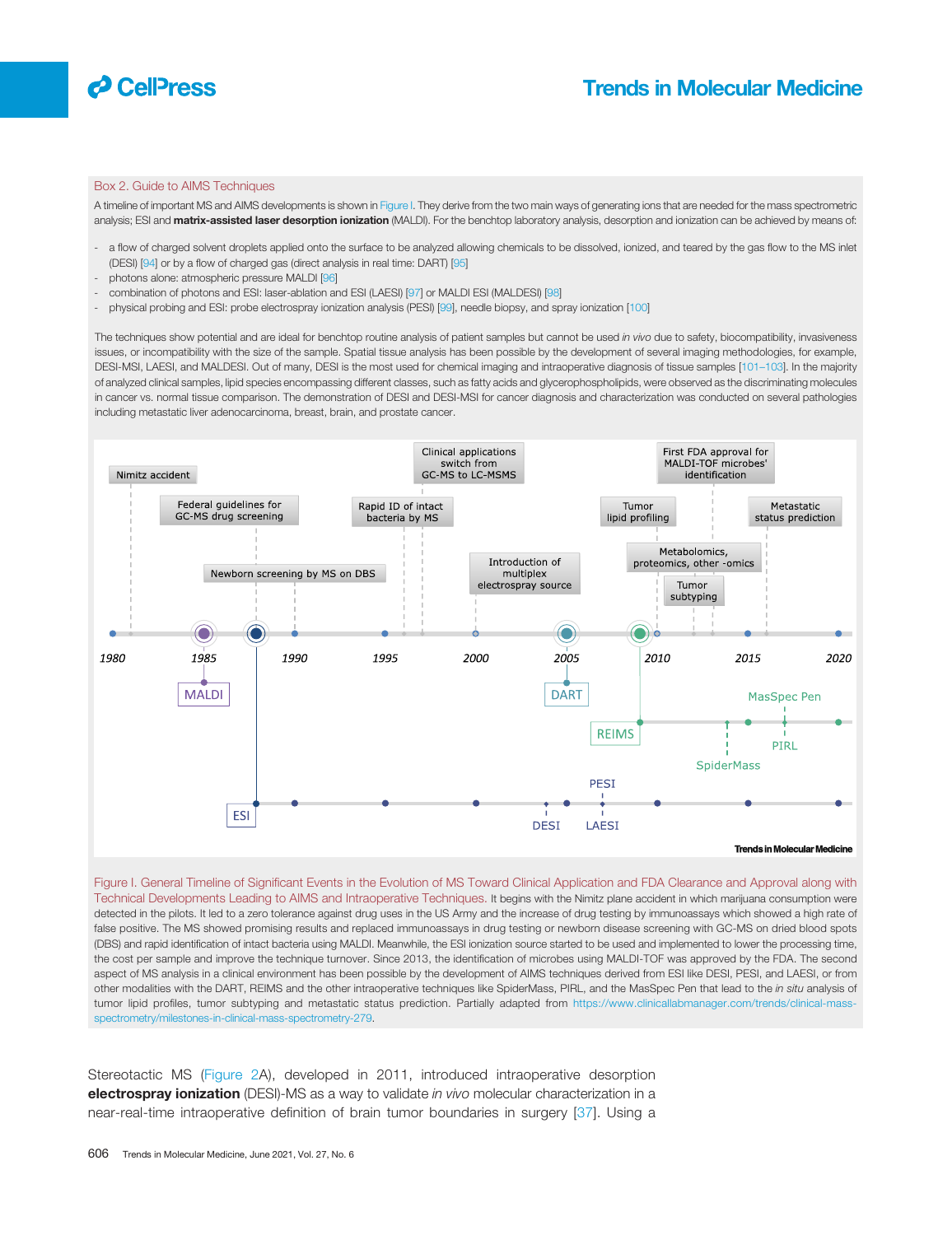

### Box 2. Guide to AIMS Techniques

A timeline of important MS and AIMS developments is shown in Figure I. They derive from the two main ways of generating ions that are needed for the mass spectrometric analysis; ESI and matrix-assisted laser desorption ionization (MALDI). For the benchtop laboratory analysis, desorption and ionization can be achieved by means of:

- a flow of charged solvent droplets applied onto the surface to be analyzed allowing chemicals to be dissolved, ionized, and teared by the gas flow to the MS inlet (DESI) [94] or by a flow of charged gas (direct analysis in real time: DART) [95]
- photons alone: atmospheric pressure MALDI [96]
- combination of photons and ESI: laser-ablation and ESI (LAESI) [97] or MALDI ESI (MALDESI) [98]
- physical probing and ESI: probe electrospray ionization analysis (PESI) [99], needle biopsy, and spray ionization [100]

The techniques show potential and are ideal for benchtop routine analysis of patient samples but cannot be used *in vivo* due to safety, biocompatibility, invasiveness issues, or incompatibility with the size of the sample. Spatial tissue analysis has been possible by the development of several imaging methodologies, for example, DESI-MSI, LAESI, and MALDESI. Out of many, DESI is the most used for chemical imaging and intraoperative diagnosis of tissue samples [101–103]. In the majority of analyzed clinical samples, lipid species encompassing different classes, such as fatty acids and glycerophospholipids, were observed as the discriminating molecules in cancer vs. normal tissue comparison. The demonstration of DESI and DESI-MSI for cancer diagnosis and characterization was conducted on several pathologies including metastatic liver adenocarcinoma, breast, brain, and prostate cancer.



Figure I. General Timeline of Significant Events in the Evolution of MS Toward Clinical Application and FDA Clearance and Approval along with Technical Developments Leading to AIMS and Intraoperative Techniques. It begins with the Nimitz plane accident in which marijuana consumption were detected in the pilots. It led to a zero tolerance against drug uses in the US Army and the increase of drug testing by immunoassays which showed a high rate of false positive. The MS showed promising results and replaced immunoassays in drug testing or newborn disease screening with GC-MS on dried blood spots (DBS) and rapid identification of intact bacteria using MALDI. Meanwhile, the ESI ionization source started to be used and implemented to lower the processing time, the cost per sample and improve the technique turnover. Since 2013, the identification of microbes using MALDI-TOF was approved by the FDA. The second aspect of MS analysis in a clinical environment has been possible by the development of AIMS techniques derived from ESI like DESI, PESI, and LAESI, or from other modalities with the DART, REIMS and the other intraoperative techniques like SpiderMass, PIRL, and the MasSpec Pen that lead to the *in situ* analysis of tumor lipid profiles, tumor subtyping and metastatic status prediction. Partially adapted from https://www.clinicallabmanager.com/trends/clinical-massspectrometry/milestones-in-clinical-mass-spectrometry-279.

Stereotactic MS (Figure 2A), developed in 2011, introduced intraoperative desorption electrospray ionization (DESI)-MS as a way to validate *in vivo* molecular characterization in a near-real-time intraoperative definition of brain tumor boundaries in surgery [37]. Using a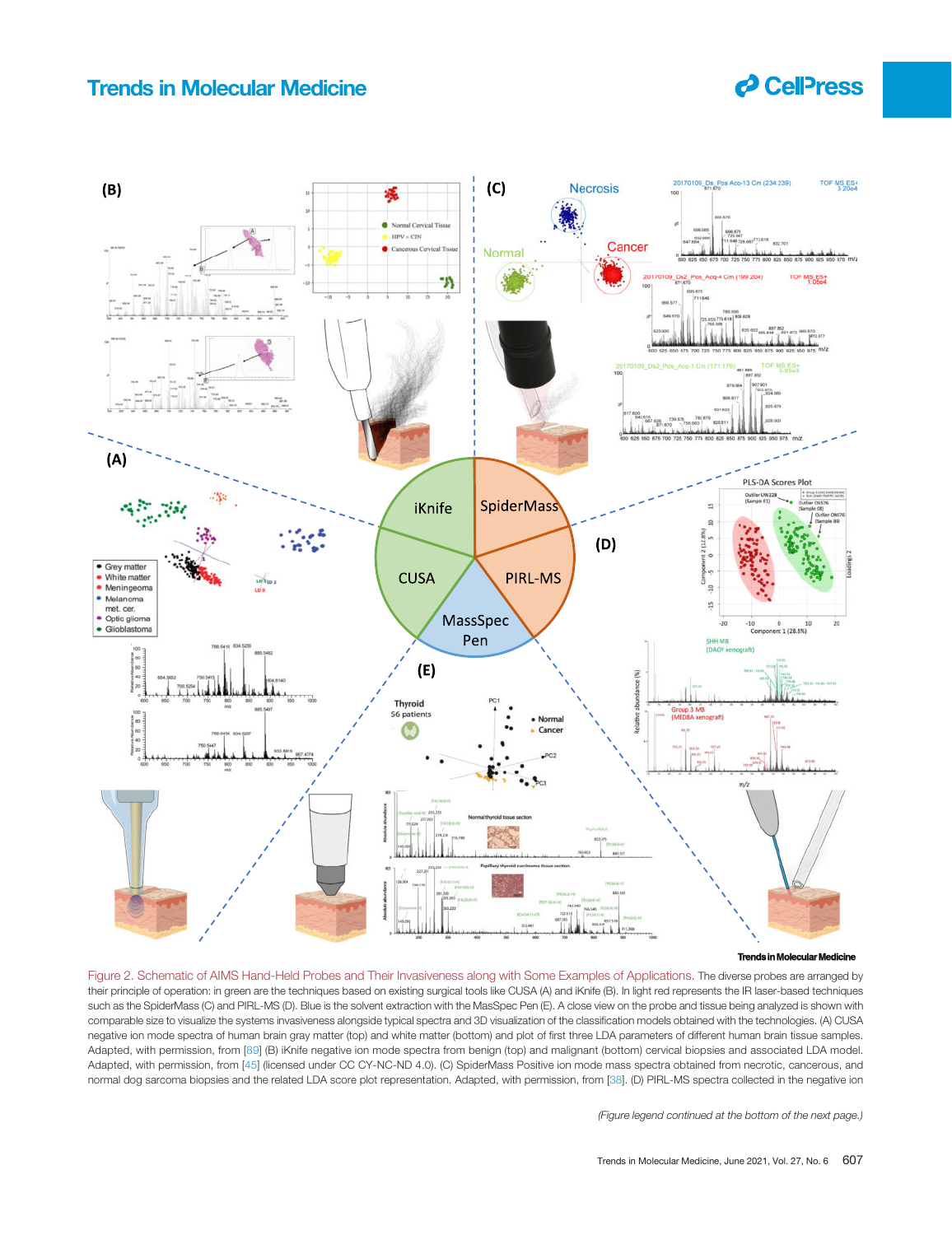# **P** CellPress



#### **Trends in Molecular Molecular Medicine**

Figure 2. Schematic of AIMS Hand-Held Probes and Their Invasiveness along with Some Examples of Applications. The diverse probes are arranged by their principle of operation: in green are the techniques based on existing surgical tools like CUSA (A) and iKnife (B). In light red represents the IR laser-based techniques such as the SpiderMass (C) and PIRL-MS (D). Blue is the solvent extraction with the MasSpec Pen (E). A close view on the probe and tissue being analyzed is shown with comparable size to visualize the systems invasiveness alongside typical spectra and 3D visualization of the classification models obtained with the technologies. (A) CUSA negative ion mode spectra of human brain gray matter (top) and white matter (bottom) and plot of first three LDA parameters of different human brain tissue samples. Adapted, with permission, from [89] (B) iKnife negative ion mode spectra from benign (top) and malignant (bottom) cervical biopsies and associated LDA model. Adapted, with permission, from [45] (licensed under CC CY-NC-ND 4.0). (C) SpiderMass Positive ion mode mass spectra obtained from necrotic, cancerous, and normal dog sarcoma biopsies and the related LDA score plot representation. Adapted, with permission, from [38]. (D) PIRL-MS spectra collected in the negative ion

*(Figure legend continued at the bottom of the next page.)*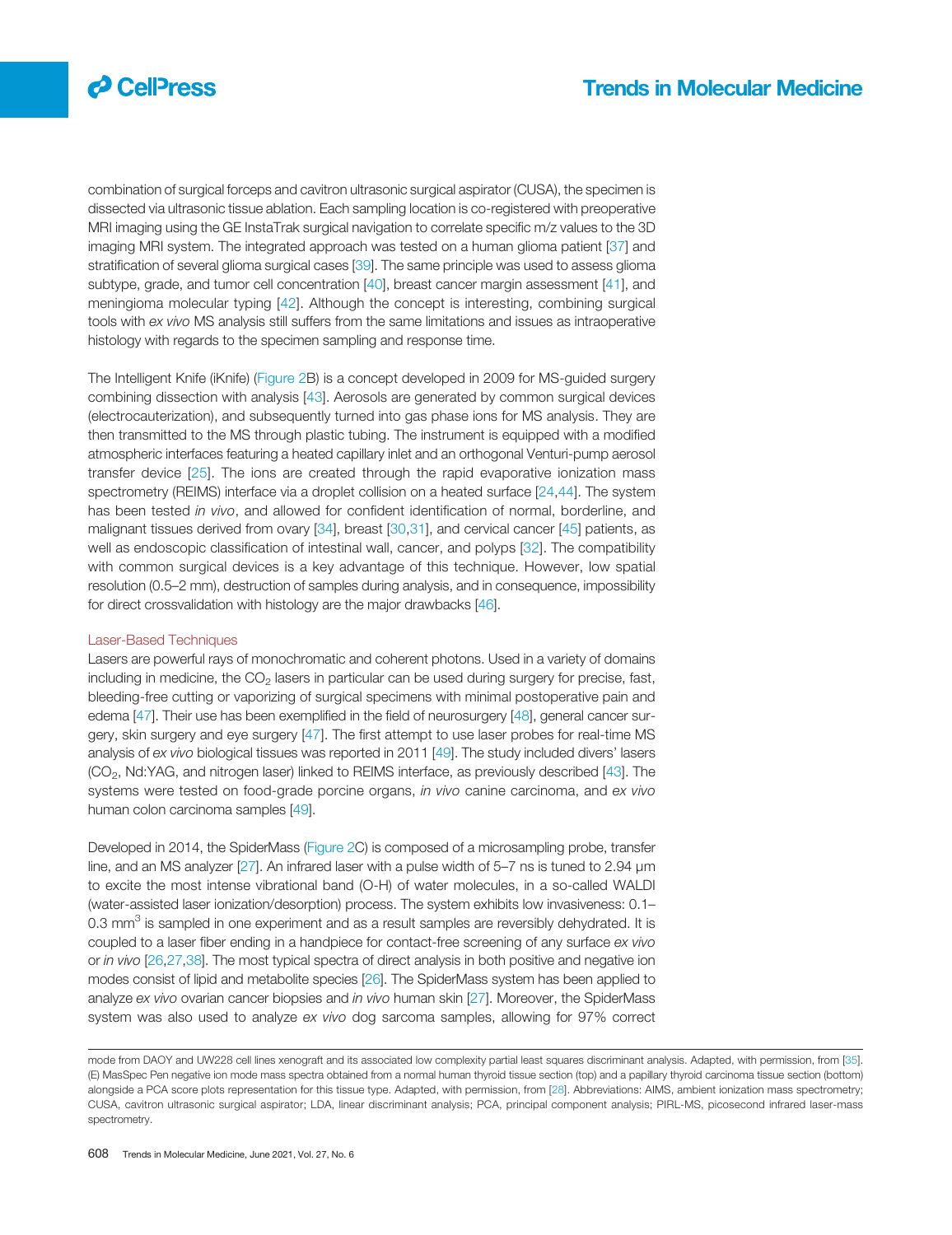

combination of surgical forceps and cavitron ultrasonic surgical aspirator (CUSA), the specimen is dissected via ultrasonic tissue ablation. Each sampling location is co-registered with preoperative MRI imaging using the GE InstaTrak surgical navigation to correlate specific m/z values to the 3D imaging MRI system. The integrated approach was tested on a human glioma patient [37] and stratification of several glioma surgical cases [39]. The same principle was used to assess glioma subtype, grade, and tumor cell concentration [40], breast cancer margin assessment [41], and meningioma molecular typing [42]. Although the concept is interesting, combining surgical tools with *ex vivo* MS analysis still suffers from the same limitations and issues as intraoperative histology with regards to the specimen sampling and response time.

The Intelligent Knife (iKnife) (Figure 2B) is a concept developed in 2009 for MS-guided surgery combining dissection with analysis [43]. Aerosols are generated by common surgical devices (electrocauterization), and subsequently turned into gas phase ions for MS analysis. They are then transmitted to the MS through plastic tubing. The instrument is equipped with a modified atmospheric interfaces featuring a heated capillary inlet and an orthogonal Venturi-pump aerosol transfer device [25]. The ions are created through the rapid evaporative ionization mass spectrometry (REIMS) interface via a droplet collision on a heated surface [24,44]. The system has been tested *in vivo*, and allowed for confident identification of normal, borderline, and malignant tissues derived from ovary [34], breast [30,31], and cervical cancer [45] patients, as well as endoscopic classification of intestinal wall, cancer, and polyps [32]. The compatibility with common surgical devices is a key advantage of this technique. However, low spatial resolution (0.5–2 mm), destruction of samples during analysis, and in consequence, impossibility for direct crossvalidation with histology are the major drawbacks [46].

### Laser-Based Techniques

Lasers are powerful rays of monochromatic and coherent photons. Used in a variety of domains including in medicine, the  $CO<sub>2</sub>$  lasers in particular can be used during surgery for precise, fast, bleeding-free cutting or vaporizing of surgical specimens with minimal postoperative pain and edema [47]. Their use has been exemplified in the field of neurosurgery [48], general cancer surgery, skin surgery and eye surgery [47]. The first attempt to use laser probes for real-time MS analysis of *ex vivo* biological tissues was reported in 2011 [49]. The study included divers' lasers  $(CO<sub>2</sub>, Nd:YAG, and nitrogen laser)$  linked to REIMS interface, as previously described [43]. The systems were tested on food-grade porcine organs, *in vivo* canine carcinoma, and *ex vivo* human colon carcinoma samples [49].

Developed in 2014, the SpiderMass (Figure 2C) is composed of a microsampling probe, transfer line, and an MS analyzer [27]. An infrared laser with a pulse width of 5–7 ns is tuned to 2.94 μm to excite the most intense vibrational band (O-H) of water molecules, in a so-called WALDI (water-assisted laser ionization/desorption) process. The system exhibits low invasiveness: 0.1– 0.3 mm<sup>3</sup> is sampled in one experiment and as a result samples are reversibly dehydrated. It is coupled to a laser fiber ending in a handpiece for contact-free screening of any surface *ex vivo* or *in vivo* [26,27,38]. The most typical spectra of direct analysis in both positive and negative ion modes consist of lipid and metabolite species [26]. The SpiderMass system has been applied to analyze *ex vivo* ovarian cancer biopsies and *in vivo* human skin [27]. Moreover, the SpiderMass system was also used to analyze *ex vivo* dog sarcoma samples, allowing for 97% correct

mode from DAOY and UW228 cell lines xenograft and its associated low complexity partial least squares discriminant analysis. Adapted, with permission, from [35]. (E) MasSpec Pen negative ion mode mass spectra obtained from a normal human thyroid tissue section (top) and a papillary thyroid carcinoma tissue section (bottom) alongside a PCA score plots representation for this tissue type. Adapted, with permission, from [28]. Abbreviations: AIMS, ambient ionization mass spectrometry; CUSA, cavitron ultrasonic surgical aspirator; LDA, linear discriminant analysis; PCA, principal component analysis; PIRL-MS, picosecond infrared laser-mass spectrometry.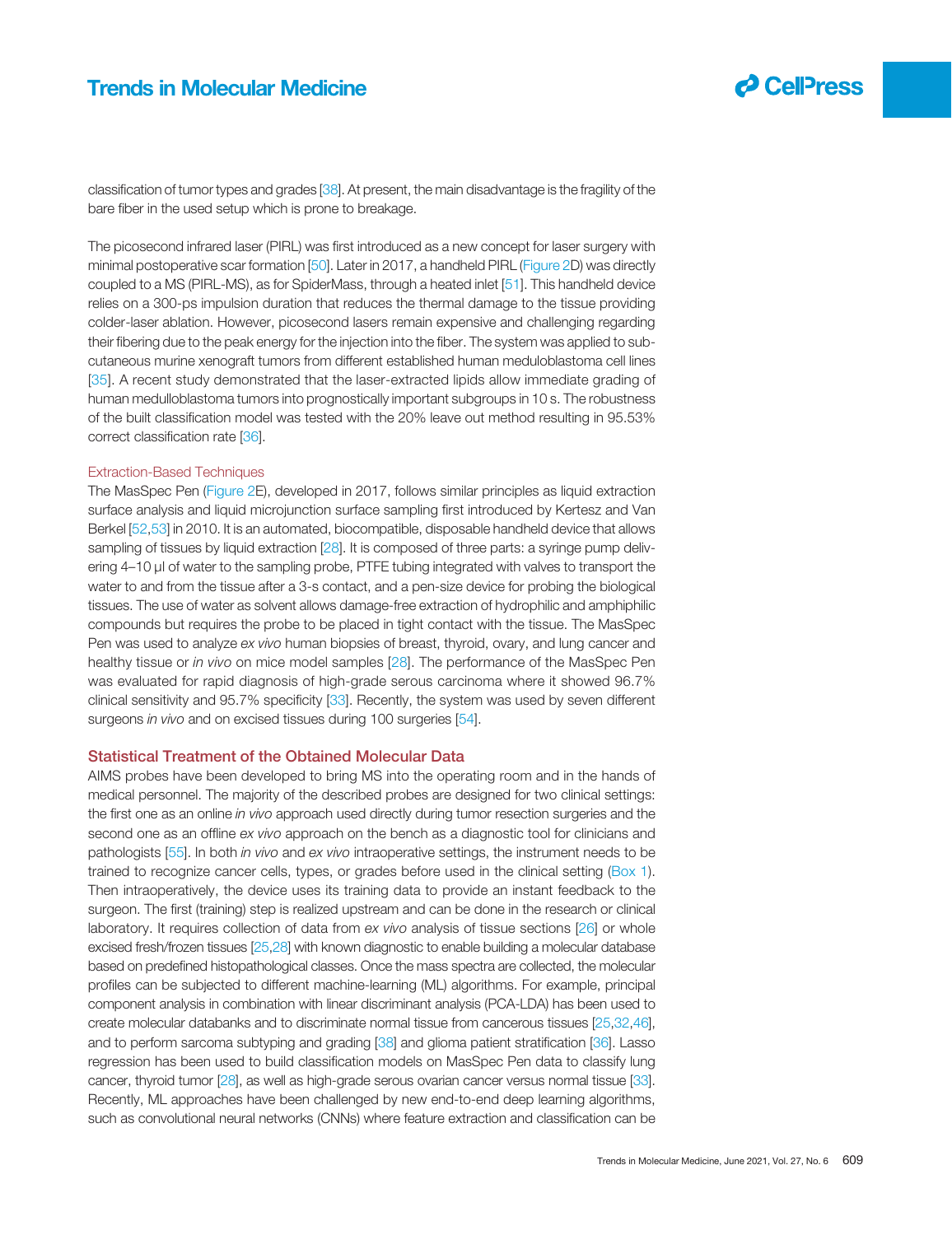

classification of tumor types and grades [38]. At present, the main disadvantage is the fragility of the bare fiber in the used setup which is prone to breakage.

The picosecond infrared laser (PIRL) was first introduced as a new concept for laser surgery with minimal postoperative scar formation [50]. Later in 2017, a handheld PIRL (Figure 2D) was directly coupled to a MS (PIRL-MS), as for SpiderMass, through a heated inlet [51]. This handheld device relies on a 300-ps impulsion duration that reduces the thermal damage to the tissue providing colder-laser ablation. However, picosecond lasers remain expensive and challenging regarding their fibering due to the peak energy for the injection into the fiber. The system was applied to subcutaneous murine xenograft tumors from different established human meduloblastoma cell lines [35]. A recent study demonstrated that the laser-extracted lipids allow immediate grading of human medulloblastoma tumors into prognostically important subgroups in 10 s. The robustness of the built classification model was tested with the 20% leave out method resulting in 95.53% correct classification rate [36].

### Extraction-Based Techniques

The MasSpec Pen (Figure 2E), developed in 2017, follows similar principles as liquid extraction surface analysis and liquid microjunction surface sampling first introduced by Kertesz and Van Berkel [52,53] in 2010. It is an automated, biocompatible, disposable handheld device that allows sampling of tissues by liquid extraction [28]. It is composed of three parts: a syringe pump delivering 4–10 μl of water to the sampling probe, PTFE tubing integrated with valves to transport the water to and from the tissue after a 3-s contact, and a pen-size device for probing the biological tissues. The use of water as solvent allows damage-free extraction of hydrophilic and amphiphilic compounds but requires the probe to be placed in tight contact with the tissue. The MasSpec Pen was used to analyze *ex vivo* human biopsies of breast, thyroid, ovary, and lung cancer and healthy tissue or *in vivo* on mice model samples [28]. The performance of the MasSpec Pen was evaluated for rapid diagnosis of high-grade serous carcinoma where it showed 96.7% clinical sensitivity and 95.7% specificity [33]. Recently, the system was used by seven different surgeons *in vivo* and on excised tissues during 100 surgeries [54].

### Statistical Treatment of the Obtained Molecular Data

AIMS probes have been developed to bring MS into the operating room and in the hands of medical personnel. The majority of the described probes are designed for two clinical settings: the first one as an online *in vivo* approach used directly during tumor resection surgeries and the second one as an offline *ex vivo* approach on the bench as a diagnostic tool for clinicians and pathologists [55]. In both *in vivo* and *ex vivo* intraoperative settings, the instrument needs to be trained to recognize cancer cells, types, or grades before used in the clinical setting (Box 1). Then intraoperatively, the device uses its training data to provide an instant feedback to the surgeon. The first (training) step is realized upstream and can be done in the research or clinical laboratory. It requires collection of data from *ex vivo* analysis of tissue sections [26] or whole excised fresh/frozen tissues [25,28] with known diagnostic to enable building a molecular database based on predefined histopathological classes. Once the mass spectra are collected, the molecular profiles can be subjected to different machine-learning (ML) algorithms. For example, principal component analysis in combination with linear discriminant analysis (PCA-LDA) has been used to create molecular databanks and to discriminate normal tissue from cancerous tissues [25,32,46], and to perform sarcoma subtyping and grading [38] and glioma patient stratification [36]. Lasso regression has been used to build classification models on MasSpec Pen data to classify lung cancer, thyroid tumor [28], as well as high-grade serous ovarian cancer versus normal tissue [33]. Recently, ML approaches have been challenged by new end-to-end deep learning algorithms, such as convolutional neural networks (CNNs) where feature extraction and classification can be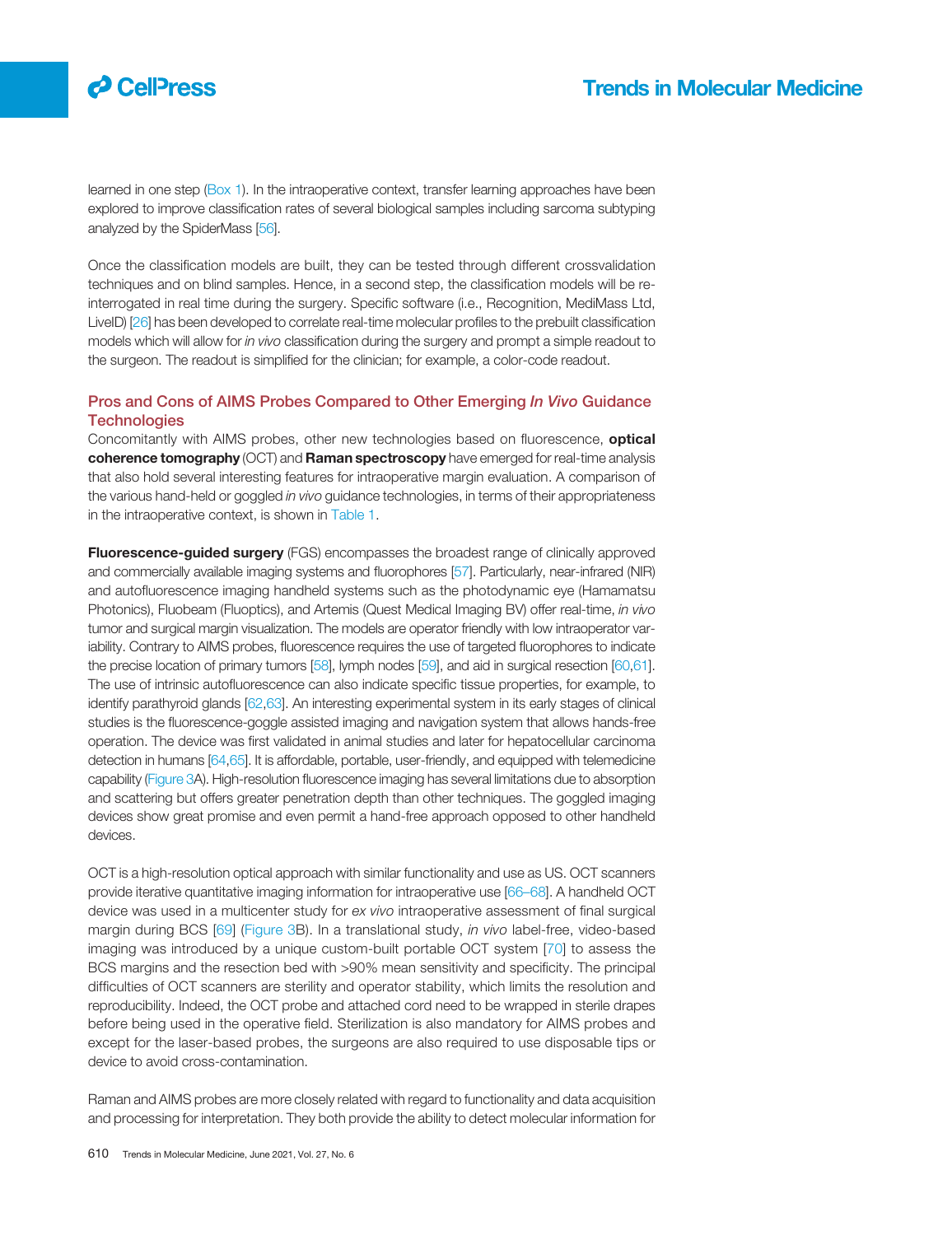# $\boldsymbol{\beta}$  CelPress

learned in one step (Box 1). In the intraoperative context, transfer learning approaches have been explored to improve classification rates of several biological samples including sarcoma subtyping analyzed by the SpiderMass [56].

Once the classification models are built, they can be tested through different crossvalidation techniques and on blind samples. Hence, in a second step, the classification models will be reinterrogated in real time during the surgery. Specific software (i.e., Recognition, MediMass Ltd, LiveID) [26] has been developed to correlate real-time molecular profiles to the prebuilt classification models which will allow for *in vivo* classification during the surgery and prompt a simple readout to the surgeon. The readout is simplified for the clinician; for example, a color-code readout.

### Pros and Cons of AIMS Probes Compared to Other Emerging In Vivo Guidance **Technologies**

Concomitantly with AIMS probes, other new technologies based on fluorescence, **optical** coherence tomography (OCT) and Raman spectroscopy have emerged for real-time analysis that also hold several interesting features for intraoperative margin evaluation. A comparison of the various hand-held or goggled *in vivo* guidance technologies, in terms of their appropriateness in the intraoperative context, is shown in Table 1.

**Fluorescence-guided surgery** (FGS) encompasses the broadest range of clinically approved and commercially available imaging systems and fluorophores [57]. Particularly, near-infrared (NIR) and autofluorescence imaging handheld systems such as the photodynamic eye (Hamamatsu Photonics), Fluobeam (Fluoptics), and Artemis (Quest Medical Imaging BV) offer real-time, *in vivo* tumor and surgical margin visualization. The models are operator friendly with low intraoperator variability. Contrary to AIMS probes, fluorescence requires the use of targeted fluorophores to indicate the precise location of primary tumors [58], lymph nodes [59], and aid in surgical resection [60,61]. The use of intrinsic autofluorescence can also indicate specific tissue properties, for example, to identify parathyroid glands [62,63]. An interesting experimental system in its early stages of clinical studies is the fluorescence-goggle assisted imaging and navigation system that allows hands-free operation. The device was first validated in animal studies and later for hepatocellular carcinoma detection in humans [64,65]. It is affordable, portable, user-friendly, and equipped with telemedicine capability (Figure 3A). High-resolution fluorescence imaging has several limitations due to absorption and scattering but offers greater penetration depth than other techniques. The goggled imaging devices show great promise and even permit a hand-free approach opposed to other handheld devices.

OCT is a high-resolution optical approach with similar functionality and use as US. OCT scanners provide iterative quantitative imaging information for intraoperative use [66–68]. A handheld OCT device was used in a multicenter study for *ex vivo* intraoperative assessment of final surgical margin during BCS [69] (Figure 3B). In a translational study, *in vivo* label-free, video-based imaging was introduced by a unique custom-built portable OCT system [70] to assess the BCS margins and the resection bed with >90% mean sensitivity and specificity. The principal difficulties of OCT scanners are sterility and operator stability, which limits the resolution and reproducibility. Indeed, the OCT probe and attached cord need to be wrapped in sterile drapes before being used in the operative field. Sterilization is also mandatory for AIMS probes and except for the laser-based probes, the surgeons are also required to use disposable tips or device to avoid cross-contamination.

Raman and AIMS probes are more closely related with regard to functionality and data acquisition and processing for interpretation. They both provide the ability to detect molecular information for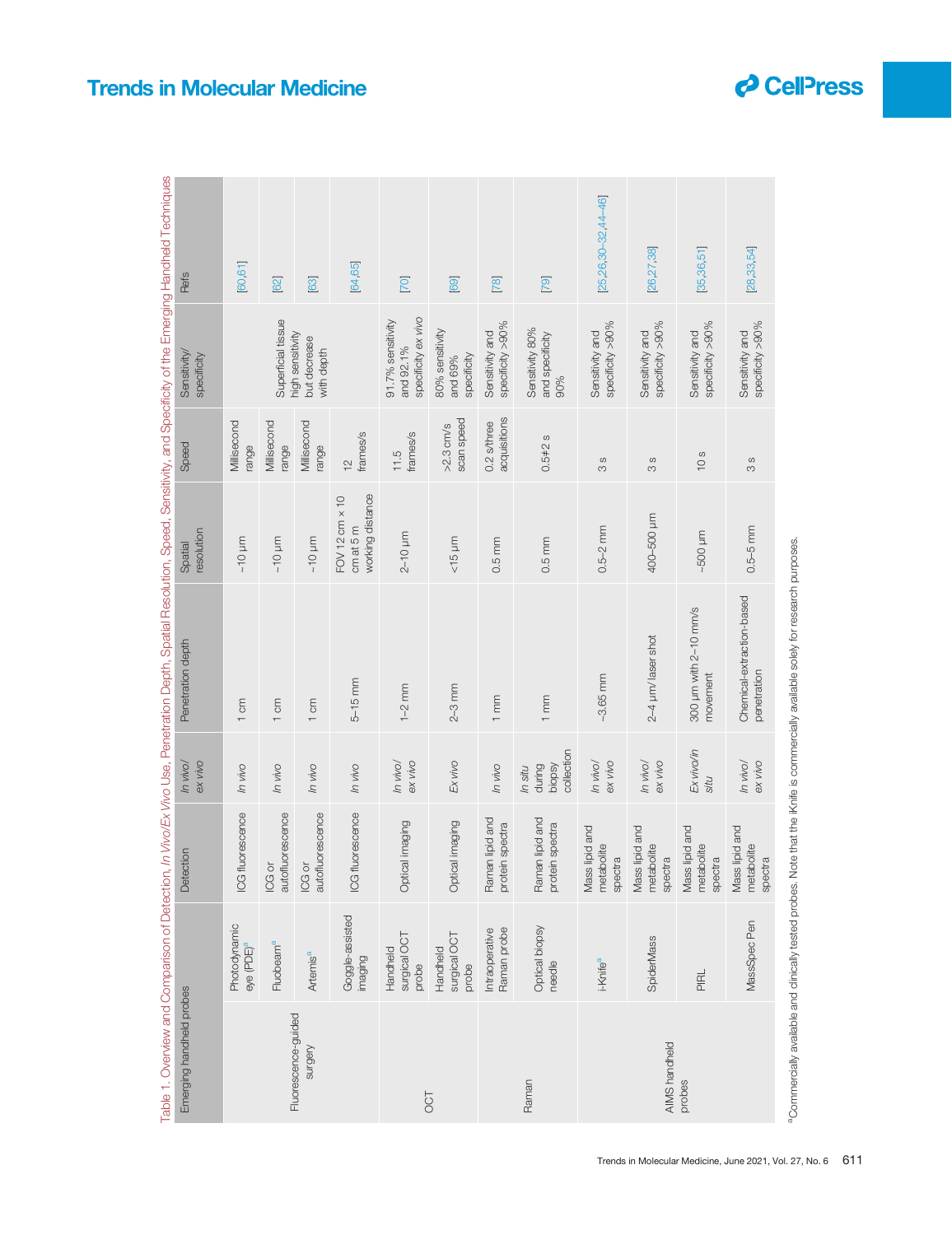| 3<br>å                         |                                                                                        |
|--------------------------------|----------------------------------------------------------------------------------------|
| I<br>l<br>I                    |                                                                                        |
| I                              |                                                                                        |
| ١                              | ĺ                                                                                      |
| ١<br>J                         |                                                                                        |
|                                |                                                                                        |
|                                |                                                                                        |
|                                |                                                                                        |
|                                |                                                                                        |
|                                | $\overline{\phantom{a}}$                                                               |
| ١                              |                                                                                        |
|                                |                                                                                        |
|                                |                                                                                        |
|                                | Ì                                                                                      |
|                                |                                                                                        |
| J                              | Ē                                                                                      |
| I<br>֕                         | ׅׅ֪ׅ֪ׅ֪ׅ֡֡֡֬֝֬֝֬֝֬֝֬ <b>֚</b>                                                          |
|                                | $\mathfrak{c}$                                                                         |
| l<br>$\overline{\mathfrak{a}}$ |                                                                                        |
| ١                              | i                                                                                      |
|                                |                                                                                        |
| ļ                              |                                                                                        |
| n.                             | $\ddot{ }$                                                                             |
| i<br>l                         |                                                                                        |
| I                              |                                                                                        |
| I<br>$\mathbf$<br>١<br>j<br>į  |                                                                                        |
| l                              |                                                                                        |
| ֺ֚֝֬<br>I<br>I                 |                                                                                        |
|                                | i                                                                                      |
|                                | ֖֖֖֖ׅׅ֪ׅ֪ׅ֪ׅ֪ׅ֖֪֪ׅ֚֚֚֚֚֚֚֚֚֚֚֚֡֝֝֬֝֬֝֝֬֝֬֝֬֝֬֝֬֝֝֬֝֬֝֬֝֬֝֬֝֝֬֝֬֝֬֝֬֝֬֝֬֝֬֝֬֝֬֝֬֝֬֝֬֝֝֬ |
| Ï<br>į<br>l<br>I               | l                                                                                      |

|                                |                                        |                                         |                                           | able 1. Overview and Comparison of Detection, <i>In Vivo/Ex Vivo</i> Use, Penetration Depth, Spatial Resolution, Speed, Sensitivity, and Specificity of the Emerging Handheld Techniques |                                                              |                               |                                                       |                              |
|--------------------------------|----------------------------------------|-----------------------------------------|-------------------------------------------|------------------------------------------------------------------------------------------------------------------------------------------------------------------------------------------|--------------------------------------------------------------|-------------------------------|-------------------------------------------------------|------------------------------|
| Emerging handheld probes       |                                        | Detection                               | ex vivo<br>ln vivol                       | Penetration depth                                                                                                                                                                        | resolution<br>Spatial                                        | Speed                         | Sensitivity/<br>specificity                           | Refs                         |
|                                | Photodynamic<br>eye (PDE) <sup>a</sup> | ICG fluorescence                        | ovin ul                                   | 1 cm                                                                                                                                                                                     | $\sim 10$ µm                                                 | Millisecond<br>range          |                                                       | [60, 61]                     |
|                                | Fluobeam <sup>a</sup>                  | autofluorescence<br>ICG or              | ovin ul                                   | 1 cm                                                                                                                                                                                     | $\sim 10$ µm                                                 | Millisecond<br>range          | Superficial tissue                                    | [62]                         |
| Fluorescence-guided<br>surgery | Artemis <sup>a</sup>                   | autofluorescence<br>ICG or              | In vivo                                   | 1 cm                                                                                                                                                                                     | $\sim 10$ µm                                                 | Millisecond<br>range          | high sensitivity<br>but decrease<br>with depth        | [63]                         |
|                                | Goggle-assisted<br>imaging             | <b>ICG fluorescence</b>                 | In vivo                                   | $5-15$ mm                                                                                                                                                                                | working distance<br>$FOV$ 12 cm $\times$ 10<br>$cm$ at 5 $m$ | frames/s<br>$\frac{2}{1}$     |                                                       | [64,65]                      |
| <b>TOO</b>                     | surgical OCT<br>Handheld<br>probe      | Optical imaging                         | ln vivol<br>ex vivo                       | $1 - 2$ mm                                                                                                                                                                               | $2-10 \mu m$                                                 | frames/s<br>11.5              | specificity ex vivo<br>91.7% sensitivity<br>and 92.1% | [70]                         |
|                                | surgical OCT<br>Handheld<br>probe      | Optical imaging                         | Ex vivo                                   | $2 - 3$ mm                                                                                                                                                                               | $<15$ µm                                                     | scan speed<br>$>2.3$ cm/s     | 80% sensitivity<br>specificity<br>and 69%             | [69]                         |
|                                | Raman probe<br>Intraoperative          | Raman lipid and<br>protein spectra      | ovin ul                                   | 1mm                                                                                                                                                                                      | $0.5 \, \text{mm}$                                           | acquisitions<br>$0.2$ s/three | specificity >90%<br>Sensitivity and                   | $[78]$                       |
| Raman                          | Optical biopsy<br>needle               | Raman lipid and<br>protein spectra      | collection<br>biopsy<br>during<br>In situ | 1mm                                                                                                                                                                                      | $0.5 \, \text{mm}$                                           | $0.5 + 2s$                    | Sensitivity 80%<br>and specificity<br>90%             | [79]                         |
|                                | i-Knife <sup>a</sup>                   | Mass lipid and<br>metabolite<br>spectra | ex vivo<br>In vivo/                       | $-3.65$ mm                                                                                                                                                                               | $0.5 - 2$ mm                                                 | $\circ$<br>S                  | specificity >90%<br>Sensitivity and                   | $[25, 26, 30 - 32, 44 - 46]$ |
| AIMS handheld                  | SpiderMass                             | Mass lipid and<br>metabolite<br>spectra | ex vivo<br>In vivo/                       | 2-4 µm/ laser shot                                                                                                                                                                       | 400-500 µm                                                   | $\omega$<br>S                 | specificity >90%<br>Sensitivity and                   | [26,27,38]                   |
| probes                         | <b>PIRL</b>                            | Mass lipid and<br>metabolite<br>spectra | Ex vivo/in<br>situ                        | 300 µm with 2-10 mm/s<br>movement                                                                                                                                                        | $-500 \mu m$                                                 | 10s                           | specificity >90%<br>Sensitivity and                   | [35, 36, 51]                 |
|                                | MassSpec Pen                           | Mass lipid and<br>metabolite<br>spectra | In vivo/<br>ex vivo                       | Chemical-extraction-based<br>penetration                                                                                                                                                 | $0.5 - 5$ mm                                                 | $\omega$<br>S                 | specificity >90%<br>Sensitivity and                   | [28,33,54]                   |
|                                |                                        |                                         |                                           |                                                                                                                                                                                          |                                                              |                               |                                                       |                              |

<sup>&</sup>lt;sup>8</sup>Commercially available and clinically tested probes. Note that the iKnife is commercially available solely for research purposes. <sup>a</sup>Commercially available and clinically tested probes. Note that the iKnife is commercially available solely for research purposes.

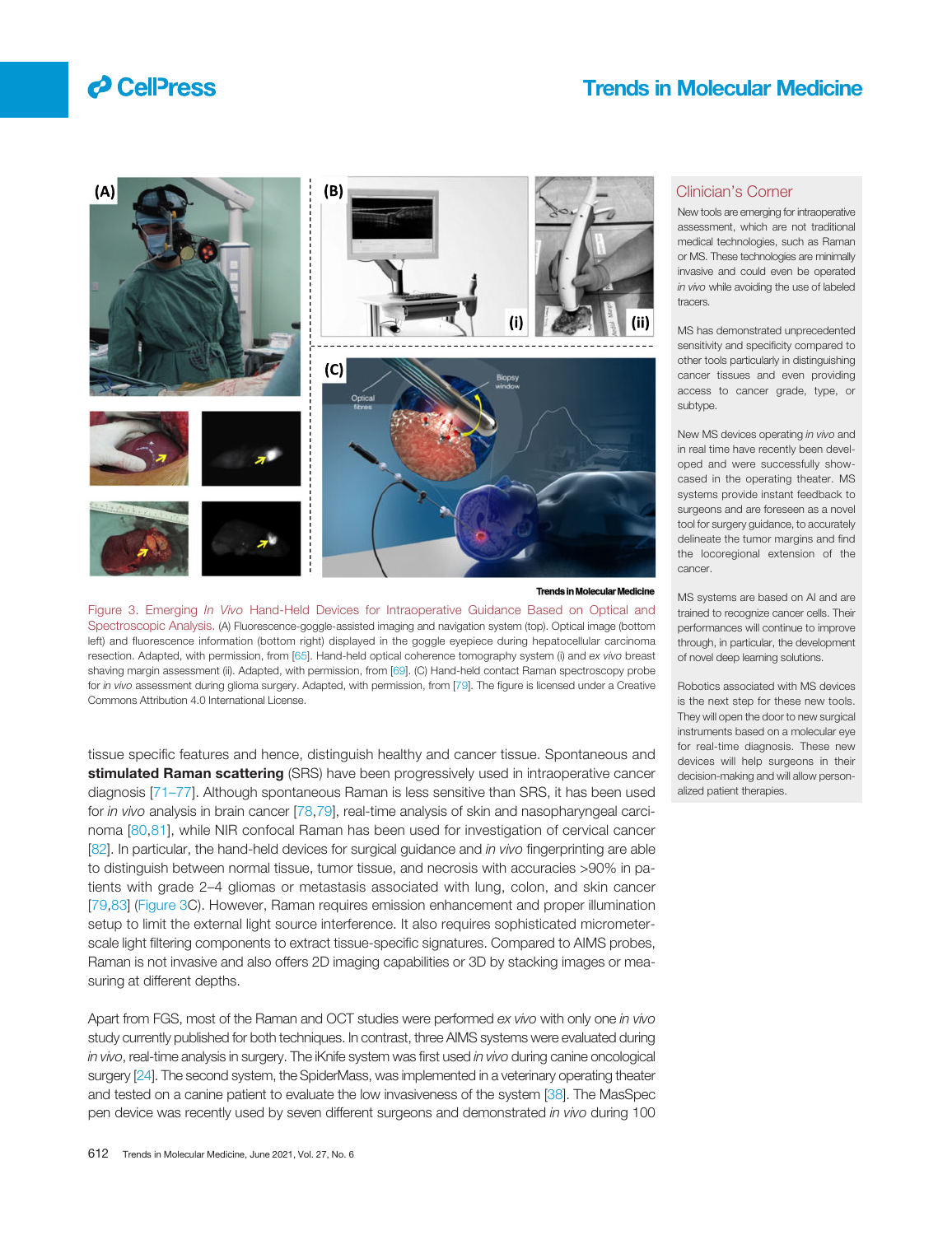



#### **Trends in Molecular Molecular Medicine**

Figure 3. Emerging *In Vivo* Hand-Held Devices for Intraoperative Guidance Based on Optical and Spectroscopic Analysis. (A) Fluorescence-goggle-assisted imaging and navigation system (top). Optical image (bottom left) and fluorescence information (bottom right) displayed in the goggle eyepiece during hepatocellular carcinoma resection. Adapted, with permission, from [65]. Hand-held optical coherence tomography system (i) and *ex vivo* breast shaving margin assessment (ii). Adapted, with permission, from [69]. (C) Hand-held contact Raman spectroscopy probe for *in vivo* assessment during glioma surgery. Adapted, with permission, from [79]. The figure is licensed under a Creative Commons Attribution 4.0 International License.

tissue specific features and hence, distinguish healthy and cancer tissue. Spontaneous and stimulated Raman scattering (SRS) have been progressively used in intraoperative cancer diagnosis [71–77]. Although spontaneous Raman is less sensitive than SRS, it has been used for *in vivo* analysis in brain cancer [78,79], real-time analysis of skin and nasopharyngeal carcinoma [80,81], while NIR confocal Raman has been used for investigation of cervical cancer [82]. In particular, the hand-held devices for surgical guidance and *in vivo* fingerprinting are able to distinguish between normal tissue, tumor tissue, and necrosis with accuracies >90% in patients with grade 2–4 gliomas or metastasis associated with lung, colon, and skin cancer [79,83] (Figure 3C). However, Raman requires emission enhancement and proper illumination setup to limit the external light source interference. It also requires sophisticated micrometerscale light filtering components to extract tissue-specific signatures. Compared to AIMS probes, Raman is not invasive and also offers 2D imaging capabilities or 3D by stacking images or measuring at different depths.

Apart from FGS, most of the Raman and OCT studies were performed *ex vivo* with only one *in vivo* study currently published for both techniques. In contrast, three AIMS systems were evaluated during *in vivo*, real-time analysis in surgery. The iKnife system was first used *in vivo* during canine oncological surgery [24]. The second system, the SpiderMass, was implemented in a veterinary operating theater and tested on a canine patient to evaluate the low invasiveness of the system [38]. The MasSpec pen device was recently used by seven different surgeons and demonstrated *in vivo* during 100

### Clinician's Corner

New tools are emerging for intraoperative assessment, which are not traditional medical technologies, such as Raman or MS. These technologies are minimally invasive and could even be operated *in vivo* while avoiding the use of labeled tracers.

MS has demonstrated unprecedented sensitivity and specificity compared to other tools particularly in distinguishing cancer tissues and even providing access to cancer grade, type, or subtype.

New MS devices operating *in vivo* and in real time have recently been developed and were successfully showcased in the operating theater. MS systems provide instant feedback to surgeons and are foreseen as a novel tool for surgery guidance, to accurately delineate the tumor margins and find the locoregional extension of the cancer.

MS systems are based on AI and are trained to recognize cancer cells. Their performances will continue to improve through, in particular, the development of novel deep learning solutions.

Robotics associated with MS devices is the next step for these new tools. They will open the door to new surgical instruments based on a molecular eye for real-time diagnosis. These new devices will help surgeons in their decision-making and will allow personalized patient therapies.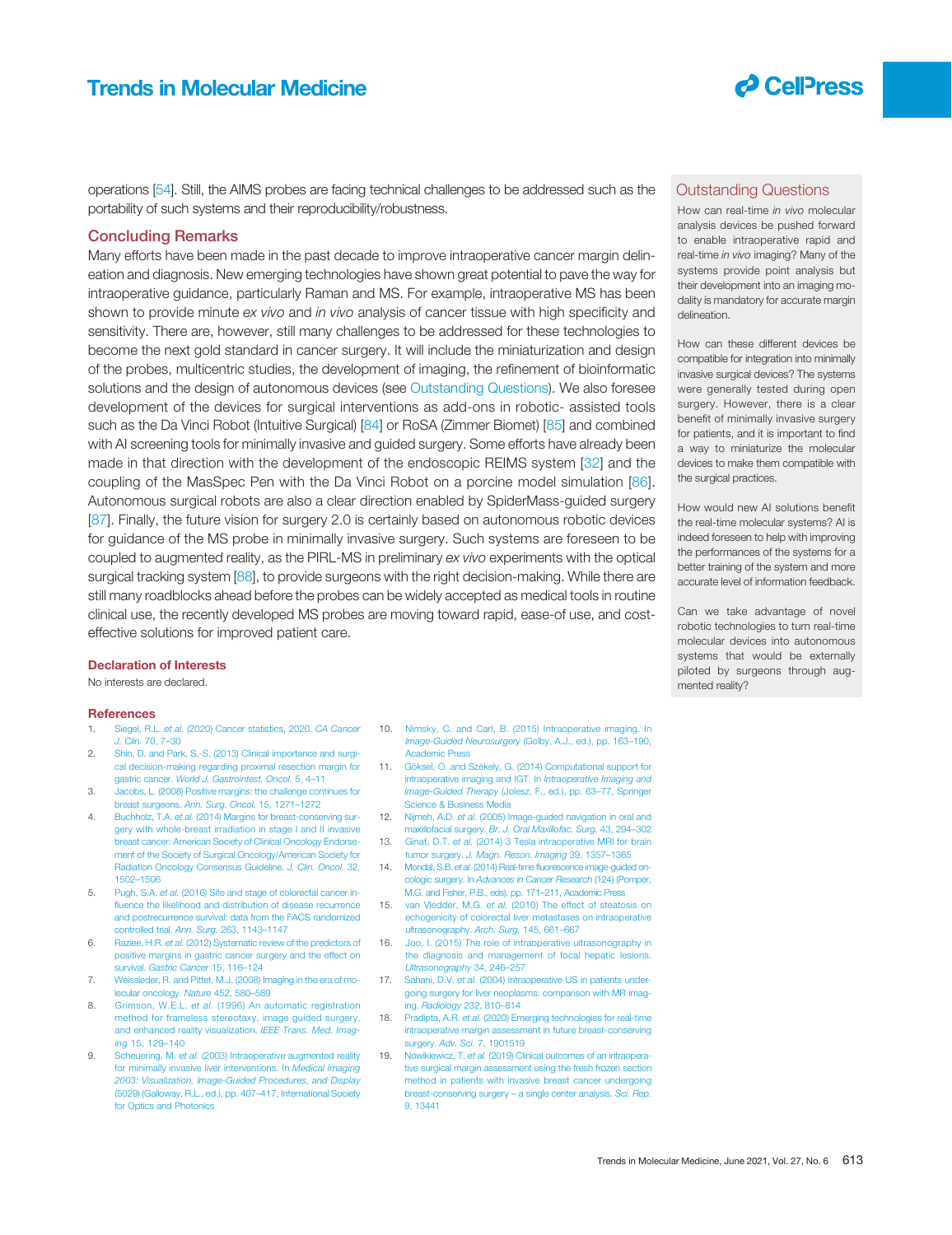

operations [54]. Still, the AIMS probes are facing technical challenges to be addressed such as the portability of such systems and their reproducibility/robustness.

### Concluding Remarks

Many efforts have been made in the past decade to improve intraoperative cancer margin delineation and diagnosis. New emerging technologies have shown great potential to pave the way for intraoperative guidance, particularly Raman and MS. For example, intraoperative MS has been shown to provide minute *ex vivo* and *in vivo* analysis of cancer tissue with high specificity and sensitivity. There are, however, still many challenges to be addressed for these technologies to become the next gold standard in cancer surgery. It will include the miniaturization and design of the probes, multicentric studies, the development of imaging, the refinement of bioinformatic solutions and the design of autonomous devices (see Outstanding Questions). We also foresee development of the devices for surgical interventions as add-ons in robotic- assisted tools such as the Da Vinci Robot (Intuitive Surgical) [84] or RoSA (Zimmer Biomet) [85] and combined with AI screening tools for minimally invasive and guided surgery. Some efforts have already been made in that direction with the development of the endoscopic REIMS system [32] and the coupling of the MasSpec Pen with the Da Vinci Robot on a porcine model simulation [86]. Autonomous surgical robots are also a clear direction enabled by SpiderMass-guided surgery [87]. Finally, the future vision for surgery 2.0 is certainly based on autonomous robotic devices for guidance of the MS probe in minimally invasive surgery. Such systems are foreseen to be coupled to augmented reality, as the PIRL-MS in preliminary *ex vivo* experiments with the optical surgical tracking system [88], to provide surgeons with the right decision-making. While there are still many roadblocks ahead before the probes can be widely accepted as medical tools in routine clinical use, the recently developed MS probes are moving toward rapid, ease-of use, and costeffective solutions for improved patient care.

### Declaration of Interests

No interests are declared.

#### **References**

- 1. Siegel, R.L. *et al.* (2020) Cancer statistics, 2020. *CA Cancer J. Clin.* 70, 7–30
- 2. Shin, D. and Park, S.-S. (2013) Clinical importance and surgical decision-making regarding proximal resection margin for
- gastric cancer. *World J. Gastrointest. Oncol.* 5, 4–11 3. Jacobs, L. (2008) Positive margins: the challenge continues for
- breast surgeons. *Ann. Surg. Oncol.* 15, 1271–1272 4. Buchholz, T.A. *et al.* (2014) Margins for breast-conserving surgery with whole-breast irradiation in stage I and II invasive breast cancer: American Society of Clinical Oncology Endorsement of the Society of Surgical Oncology/American Society for Radiation Oncology Consensus Guideline. *J. Clin. Oncol.* 32, 1502–1506
- 5. Pugh, S.A. *et al.* (2016) Site and stage of colorectal cancer influence the likelihood and distribution of disease recurrence and postrecurrence survival: data from the FACS randomized controlled trial. *Ann. Surg.* 263, 1143–1147
- 6. Raziee, H.R. *et al.* (2012) Systematic review of the predictors of positive margins in gastric cancer surgery and the effect on survival. *Gastric Cancer* 15, 116–124
- 7. Weissleder, R. and Pittet, M.J. (2008) Imaging in the era of molecular oncology. *Nature* 452, 580–589
- 8. Grimson, W.E.L. *et al.* (1996) An automatic registration method for frameless stereotaxy, image guided surgery, and enhanced reality visualization. *IEEE Trans. Med. Imaging* 15, 129–140
- 9. Scheuering, M. *et al.* (2003) Intraoperative augmented reality for minimally invasive liver interventions. In *Medical Imaging 2003: Visualization, Image-Guided Procedures, and Display* (5029) (Galloway, R.L., ed.), pp. 407–417, International Society for Optics and Photonics
- 10. Nimsky, C. and Carl, B. (2015) Intraoperative imaging. In *Image-Guided Neurosurgery* (Golby, A.J., ed.), pp. 163–190, Academic Press
- 11. Göksel, O. and Székely, G. (2014) Computational support for intraoperative imaging and IGT. In *Intraoperative Imaging and Image-Guided Therapy* (Jolesz, F., ed.), pp. 63–77, Springer Science & Business Media
- 12. Nijmeh, A.D. *et al.* (2005) Image-guided navigation in oral and maxillofacial surgery. *Br. J. Oral Maxillofac. Surg.* 43, 294–302 13. Ginat, D.T. *et al.* (2014) 3 Tesla intraoperative MRI for brain
- tumor surgery. *J. Magn. Reson. Imaging* 39, 1357–1365
- 14. Mondal, S.B. *et al.* (2014) Real-time fluorescence image-guided oncologic surgery. In *Advances in Cancer Research* (124) (Pomper, M.G. and Fisher, P.B., eds), pp. 171–211, Academic Press
- 15. van Vledder, M.G. *et al.* (2010) The effect of steatosis on echogenicity of colorectal liver metastases on intraoperative ultrasonography. *Arch. Surg.* 145, 661–667
- 16. Joo, I. (2015) The role of intraoperative ultrasonography in the diagnosis and management of focal hepatic lesion *Ultrasonography* 34, 246–257
- 17. Sahani, D.V. *et al.* (2004) Intraoperative US in patients undergoing surgery for liver neoplasms: comparison with MR imaging. *Radiology* 232, 810–814
- 18. Pradipta, A.R. *et al.* (2020) Emerging technologies for real-time intraoperative margin assessment in future breast-conserving surgery. *Adv. Sci.* 7, 1901519
- 19. Nowikiewicz, T. *et al.* (2019) Clinical outcomes of an intraoperative surgical margin assessment using the fresh frozen section method in patients with invasive breast cancer undergoing breast-conserving surgery – a single center analysis. *Sci. Rep.* 9, 13441

### Outstanding Questions

How can real-time *in vivo* molecular analysis devices be pushed forward to enable intraoperative rapid and real-time *in vivo* imaging? Many of the systems provide point analysis but their development into an imaging modality is mandatory for accurate margin delineation.

How can these different devices be compatible for integration into minimally invasive surgical devices? The systems were generally tested during open surgery. However, there is a clear benefit of minimally invasive surgery for patients, and it is important to find a way to miniaturize the molecular devices to make them compatible with the surgical practices.

How would new AI solutions benefit the real-time molecular systems? AI is indeed foreseen to help with improving the performances of the systems for a better training of the system and more accurate level of information feedback.

Can we take advantage of novel robotic technologies to turn real-time molecular devices into autonomous systems that would be externally piloted by surgeons through augmented reality?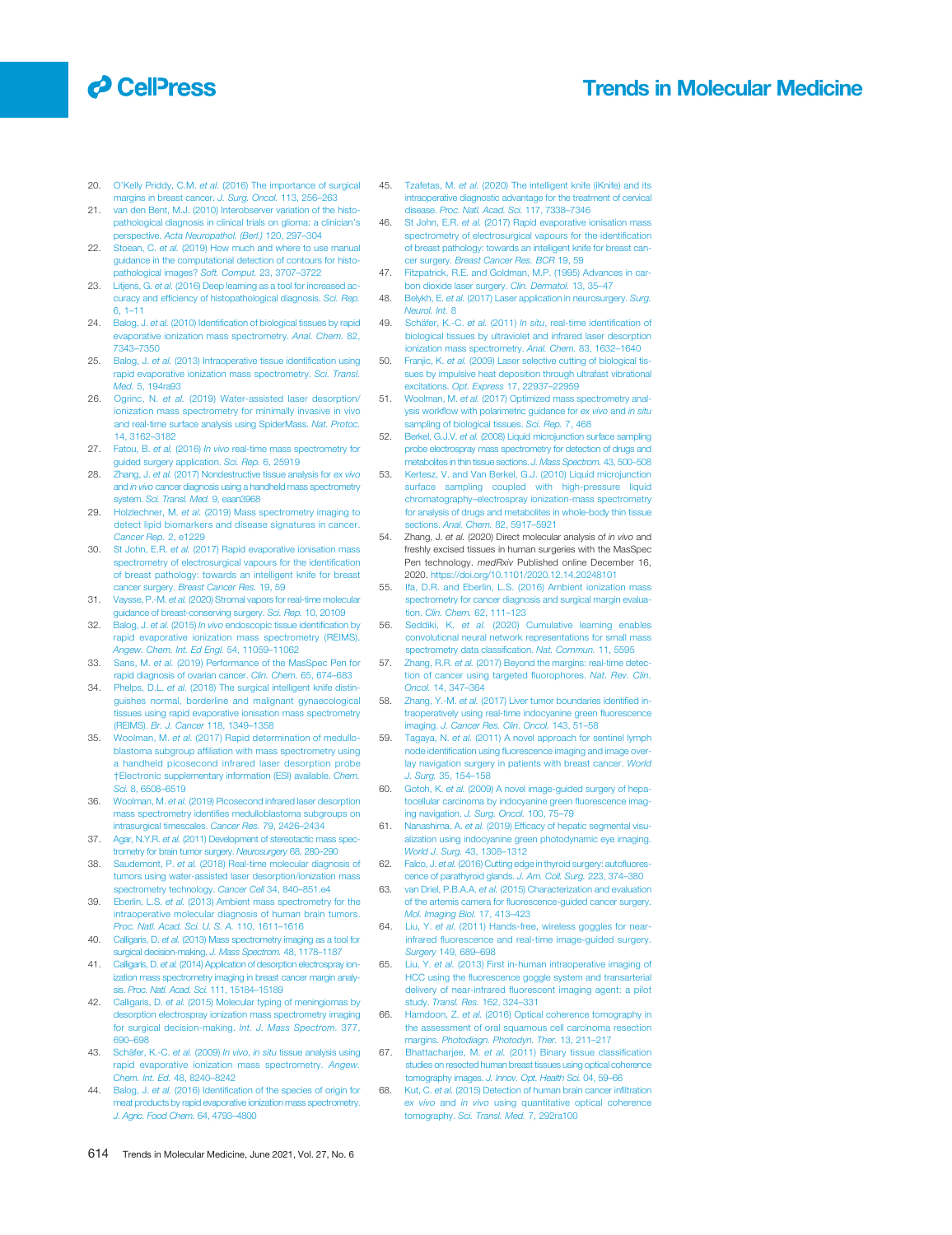## **O** CelPress

### Trends in Molecular Medicine

- 20. O'Kelly Priddy, C.M. *et al.* (2016) The importance of surgical margins in breast cancer. *J. Surg. Oncol.* 113, 256–263
- 21. van den Bent, M.J. (2010) Interobserver variation of the histopathological diagnosis in clinical trials on glioma: a clinician's perspective. *Acta Neuropathol. (Berl.)* 120, 297–304
- 22. Stoean, C. *et al.* (2019) How much and where to use manual guidance in the computational detection of contours for histopathological images? *Soft. Comput.* 23, 3707–3722
- 23. Litjens, G. *et al.* (2016) Deep learning as a tool for increased accuracy and efficiency of histopathological diagnosis. *Sci. Rep.* 6, 1–11
- 24. Balog, J. *et al.* (2010) Identification of biological tissues by rapid evaporative ionization mass spectrometry. *Anal. Chem.* 82, 7343–7350
- 25. Balog, J. *et al.* (2013) Intraoperative tissue identification using rapid evaporative ionization mass spectrometry. *Sci. Transl. Med.* 5, 194ra93
- 26. Ogrinc, N. *et al.* (2019) Water-assisted laser desorption/ ionization mass spectrometry for minimally invasive in vivo and real-time surface analysis using SpiderMass. *Nat. Protoc.* 14, 3162–3182
- 27. Fatou, B. *et al.* (2016) *In vivo* real-time mass spectrometry for guided surgery application. *Sci. Rep.* 6, 25919
- 28. Zhang, J. *et al.* (2017) Nondestructive tissue analysis for *ex vivo* and *in vivo* cancer diagnosis using a handheld mass spectrometry system. *Sci. Transl. Med.* 9, eaan3968
- 29. Holzlechner, M. *et al.* (2019) Mass spectrometry imaging to detect lipid biomarkers and disease signatures in cancer. *Cancer Rep.* 2, e1229
- 30. St John, E.R. *et al.* (2017) Rapid evaporative ionisation mass spectrometry of electrosurgical vapours for the identification of breast pathology: towards an intelligent knife for breast cancer surgery. *Breast Cancer Res.* 19, 59
- 31. Vaysse, P.-M. *et al.* (2020) Stromal vapors for real-time molecular guidance of breast-conserving surgery. *Sci. Rep.* 10, 20109
- 32. Balog, J. *et al.* (2015) *In vivo* endoscopic tissue identification by rapid evaporative ionization mass spectrometry (REIMS). *Angew. Chem. Int. Ed Engl.* 54, 11059–11062
- 33. Sans, M. *et al.* (2019) Performance of the MasSpec Pen for rapid diagnosis of ovarian cancer. *Clin. Chem.* 65, 674–683
- 34. Phelps, D.L. *et al.* (2018) The surgical intelligent knife distinguishes normal, borderline and malignant gynaecological tissues using rapid evaporative ionisation mass spectrometry (REIMS). *Br. J. Cancer* 118, 1349–1358
- 35. Woolman, M. *et al.* (2017) Rapid determination of medulloblastoma subgroup affiliation with mass spectrometry using a handheld picosecond infrared laser desorption probe †Electronic supplementary information (ESI) available. *Chem. Sci.* 8, 6508–6519
- 36. Woolman, M. *et al.* (2019) Picosecond infrared laser desorption mass spectrometry identifies medulloblastoma subgroups on intrasurgical timescales. *Cancer Res.* 79, 2426–2434
- 37. Agar, N.Y.R. *et al.* (2011) Development of stereotactic mass spectrometry for brain tumor surgery. *Neurosurgery* 68, 280–290
- 38. Saudemont, P. *et al.* (2018) Real-time molecular diagnosis of tumors using water-assisted laser desorption/ionization mass spectrometry technology. *Cancer Cell* 34, 840–851.e4
- 39. Eberlin, L.S. *et al.* (2013) Ambient mass spectrometry for the intraoperative molecular diagnosis of human brain tumors. *Proc. Natl. Acad. Sci. U. S. A.* 110, 1611–1616
- 40. Calligaris, D. *et al.* (2013) Mass spectrometry imaging as a tool for surgical decision-making. *J. Mass Spectrom.* 48, 1178–1187
- 41. Calligaris, D. *et al.* (2014) Application of desorption electrospray ionization mass spectrometry imaging in breast cancer margin analysis. *Proc. Natl. Acad. Sci.* 111, 15184–15189
- 42. Calligaris, D. *et al.* (2015) Molecular typing of meningiomas by desorption electrospray ionization mass spectrometry imaging for surgical decision-making. *Int. J. Mass Spectrom.* 377, 690–698
- 43. Schäfer, K.-C. *et al.* (2009) *In vivo*, *in situ* tissue analysis using rapid evaporative ionization mass spectrometry. *Angew. Chem. Int. Ed.* 48, 8240–8242
- 44. Balog, J. *et al.* (2016) Identification of the species of origin for meat products by rapid evaporative ionization mass spectrometry. *J. Agric. Food Chem.* 64, 4793–4800
- 45. Tzafetas, M. *et al.* (2020) The intelligent knife (iKnife) and its intraoperative diagnostic advantage for the treatment of cervical disease. *Proc. Natl. Acad. Sci.* 117, 7338–7346
- 46. St John, E.R. *et al.* (2017) Rapid evaporative ionisation mass spectrometry of electrosurgical vapours for the identification of breast pathology: towards an intelligent knife for breast cancer surgery. *Breast Cancer Res. BCR* 19, 59
- 47. Fitzpatrick, R.E. and Goldman, M.P. (1995) Advances in carbon dioxide laser surgery. *Clin. Dermatol.* 13, 35–47
- 48. Belykh, E. *et al.* (2017) Laser application in neurosurgery. *Surg. Neurol. Int.* 8
- 49. Schäfer, K.-C. *et al.* (2011) *In situ*, real-time identification of biological tissues by ultraviolet and infrared laser desorption ionization mass spectrometry. *Anal. Chem.* 83, 1632–1640
- 50. Franjic, K. *et al.* (2009) Laser selective cutting of biological tissues by impulsive heat deposition through ultrafast vibrational excitations. *Opt. Express* 17, 22937–22959
- 51. Woolman, M. *et al.* (2017) Optimized mass spectrometry analysis workflow with polarimetric guidance for *ex vivo* and *in situ* sampling of biological tissues. *Sci. Rep.* 7, 468
- 52. Berkel, G.J.V. *et al.* (2008) Liquid microjunction surface sampling probe electrospray mass spectrometry for detection of drugs and metabolites in thin tissue sections. *J. Mass Spectrom.* 43, 500–508
- 53. Kertesz, V. and Van Berkel, G.J. (2010) Liquid microjunction surface sampling coupled with high-pressure liquid chromatography–electrospray ionization-mass spectrometry for analysis of drugs and metabolites in whole-body thin tissue sections. *Anal. Chem.* 82, 5917–5921
- 54. Zhang, J. *et al.* (2020) Direct molecular analysis of *in vivo* and freshly excised tissues in human surgeries with the MasSpec Pen technology. *medRxiv* Published online December 16, 2020. https://doi.org/10.1101/2020.12.14.20248101
- 55. Ifa, D.R. and Eberlin, L.S. (2016) Ambient ionization mass spectrometry for cancer diagnosis and surgical margin evaluation. *Clin. Chem.* 62, 111–123
- 56. Seddiki, K. *et al.* (2020) Cumulative learning enables convolutional neural network representations for small mass spectrometry data classification. *Nat. Commun.* 11, 5595
- 57. Zhang, R.R. *et al.* (2017) Beyond the margins: real-time detection of cancer using targeted fluorophores. *Nat. Rev. Clin. Oncol.* 14, 347–364
- 58. Zhang, Y.-M. *et al.* (2017) Liver tumor boundaries identified intraoperatively using real-time indocyanine green fluorescence imaging. *J. Cancer Res. Clin. Oncol.* 143, 51–58
- 59. Tagaya, N. *et al.* (2011) A novel approach for sentinel lymph node identification using fluorescence imaging and image overlay navigation surgery in patients with breast cancer. *World J. Surg.* 35, 154–158
- 60. Gotoh, K. *et al.* (2009) A novel image-guided surgery of hepatocellular carcinoma by indocyanine green fluorescence imaging navigation. *J. Surg. Oncol.* 100, 75–79
- 61. Nanashima, A. *et al.* (2019) Efficacy of hepatic segmental visualization using indocyanine green photodynamic eye imaging. *World J. Surg.* 43, 1308–1312
- 62. Falco, J. *et al.* (2016) Cutting edge in thyroid surgery: autofluorescence of parathyroid glands. *J. Am. Coll. Surg.* 223, 374–380
- 63. van Driel, P.B.A.A. *et al.* (2015) Characterization and evaluation of the artemis camera for fluorescence-guided cancer surgery. *Mol. Imaging Biol.* 17, 413–423
- 64. Liu, Y. *et al.* (2011) Hands-free, wireless goggles for nearinfrared fluorescence and real-time image-guided surgery. *Surgery* 149, 689–698
- 65. Liu, Y. *et al.* (2013) First in-human intraoperative imaging of HCC using the fluorescence goggle system and transarterial delivery of near-infrared fluorescent imaging agent: a pilot study. *Transl. Res.* 162, 324–331
- 66. Hamdoon, Z. *et al.* (2016) Optical coherence tomography in the assessment of oral squamous cell carcinoma resection margins. *Photodiagn. Photodyn. Ther.* 13, 211–217
- 67. Bhattacharjee, M. *et al.* (2011) Binary tissue classification studies on resected human breast tissues using optical coherence tomography images. *J. Innov. Opt. Health Sci.* 04, 59–66
- 68. Kut, C. *et al.* (2015) Detection of human brain cancer infiltration *ex vivo* and *in vivo* using quantitative optical coherence tomography. *Sci. Transl. Med.* 7, 292ra100